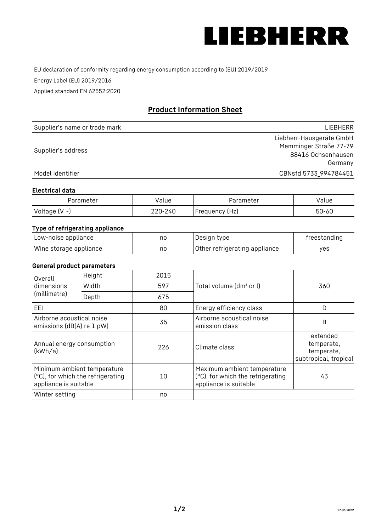

EU declaration of conformity regarding energy consumption according to (EU) 2019/2019

Energy Label (EU) 2019/2016

Applied standard EN 62552:2020

# **Product Information Sheet**

| Supplier's name or trade mark | LIEBHERR                 |
|-------------------------------|--------------------------|
|                               | Liebherr-Hausgeräte GmbH |
| Supplier's address            | Memminger Straße 77-79   |
|                               | 88416 Ochsenhausen       |
|                               | Germany                  |
| Model identifier              | CBNsfd 5733_994784451    |

#### **Electrical data**

| Parameter          | Value   | Parameter      | alue  |
|--------------------|---------|----------------|-------|
| Voltage $(V \sim)$ | 220-240 | Frequency (Hz) | 50-60 |

## **Type of refrigerating appliance**

| Low-noise appliance    | nc | Design type                   | freestanding |
|------------------------|----|-------------------------------|--------------|
| Wine storage appliance | nc | Other refrigerating appliance | ves          |

## **General product parameters**

| Overall                                                | Height                                                           | 2015 |                                                                                           | 360                                                           |
|--------------------------------------------------------|------------------------------------------------------------------|------|-------------------------------------------------------------------------------------------|---------------------------------------------------------------|
| dimensions<br>(millimetre)                             | Width                                                            | 597  | Total volume (dm <sup>3</sup> or l)                                                       |                                                               |
|                                                        | Depth                                                            | 675  |                                                                                           |                                                               |
| EEL                                                    |                                                                  | 80   | Energy efficiency class                                                                   | D                                                             |
| Airborne acoustical noise<br>emissions (dB(A) re 1 pW) |                                                                  | 35   | Airborne acoustical noise<br>emission class                                               | B                                                             |
| Annual energy consumption<br>(kWh/a)                   |                                                                  | 226  | Climate class                                                                             | extended<br>temperate,<br>temperate,<br>subtropical, tropical |
| appliance is suitable                                  | Minimum ambient temperature<br>(°C), for which the refrigerating | 10   | Maximum ambient temperature<br>(°C), for which the refrigerating<br>appliance is suitable | 43                                                            |
| Winter setting                                         |                                                                  | no   |                                                                                           |                                                               |